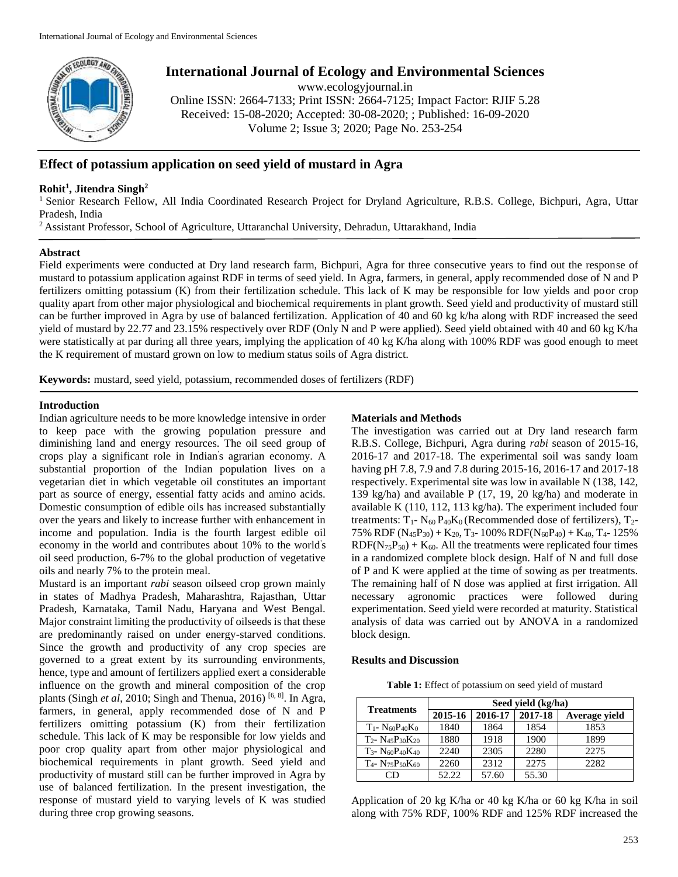

# **International Journal of Ecology and Environmental Sciences**

www.ecologyjournal.in

Online ISSN: 2664-7133; Print ISSN: 2664-7125; Impact Factor: RJIF 5.28 Received: 15-08-2020; Accepted: 30-08-2020; ; Published: 16-09-2020 Volume 2; Issue 3; 2020; Page No. 253-254

## **Effect of potassium application on seed yield of mustard in Agra**

## **Rohit<sup>1</sup> , Jitendra Singh<sup>2</sup>**

<sup>1</sup> Senior Research Fellow, All India Coordinated Research Project for Dryland Agriculture, R.B.S. College, Bichpuri, Agra, Uttar Pradesh, India

<sup>2</sup> Assistant Professor, School of Agriculture, Uttaranchal University, Dehradun, Uttarakhand, India

#### **Abstract**

Field experiments were conducted at Dry land research farm, Bichpuri, Agra for three consecutive years to find out the response of mustard to potassium application against RDF in terms of seed yield. In Agra, farmers, in general, apply recommended dose of N and P fertilizers omitting potassium (K) from their fertilization schedule. This lack of K may be responsible for low yields and poor crop quality apart from other major physiological and biochemical requirements in plant growth. Seed yield and productivity of mustard still can be further improved in Agra by use of balanced fertilization. Application of 40 and 60 kg k/ha along with RDF increased the seed yield of mustard by 22.77 and 23.15% respectively over RDF (Only N and P were applied). Seed yield obtained with 40 and 60 kg K/ha were statistically at par during all three years, implying the application of 40 kg K/ha along with 100% RDF was good enough to meet the K requirement of mustard grown on low to medium status soils of Agra district.

**Keywords:** mustard, seed yield, potassium, recommended doses of fertilizers (RDF)

### **Introduction**

Indian agriculture needs to be more knowledge intensive in order to keep pace with the growing population pressure and diminishing land and energy resources. The oil seed group of crops play a significant role in Indian' s agrarian economy. A substantial proportion of the Indian population lives on a vegetarian diet in which vegetable oil constitutes an important part as source of energy, essential fatty acids and amino acids. Domestic consumption of edible oils has increased substantially over the years and likely to increase further with enhancement in income and population. India is the fourth largest edible oil economy in the world and contributes about 10% to the world' s oil seed production, 6-7% to the global production of vegetative oils and nearly 7% to the protein meal.

Mustard is an important *rabi* season oilseed crop grown mainly in states of Madhya Pradesh, Maharashtra, Rajasthan, Uttar Pradesh, Karnataka, Tamil Nadu, Haryana and West Bengal. Major constraint limiting the productivity of oilseeds is that these are predominantly raised on under energy-starved conditions. Since the growth and productivity of any crop species are governed to a great extent by its surrounding environments, hence, type and amount of fertilizers applied exert a considerable influence on the growth and mineral composition of the crop plants (Singh *et al*, 2010; Singh and Thenua, 2016) [6, 8]. In Agra, farmers, in general, apply recommended dose of N and P fertilizers omitting potassium (K) from their fertilization schedule. This lack of K may be responsible for low yields and poor crop quality apart from other major physiological and biochemical requirements in plant growth. Seed yield and productivity of mustard still can be further improved in Agra by use of balanced fertilization. In the present investigation, the response of mustard yield to varying levels of K was studied during three crop growing seasons.

### **Materials and Methods**

The investigation was carried out at Dry land research farm R.B.S. College, Bichpuri, Agra during *rabi* season of 2015-16, 2016-17 and 2017-18. The experimental soil was sandy loam having pH 7.8, 7.9 and 7.8 during 2015-16, 2016-17 and 2017-18 respectively. Experimental site was low in available N (138, 142, 139 kg/ha) and available P (17, 19, 20 kg/ha) and moderate in available K (110, 112, 113 kg/ha). The experiment included four treatments:  $T_1$ -  $N_{60}P_{40}K_0$  (Recommended dose of fertilizers),  $T_2$ -75% RDF ( $N_{45}P_{30}$ ) + K<sub>20</sub>, T<sub>3</sub>-100% RDF( $N_{60}P_{40}$ ) + K<sub>40</sub>, T<sub>4</sub>-125%  $RDF(N_{75}P_{50}) + K_{60}$ . All the treatments were replicated four times in a randomized complete block design. Half of N and full dose of P and K were applied at the time of sowing as per treatments. The remaining half of N dose was applied at first irrigation. All necessary agronomic practices were followed during experimentation. Seed yield were recorded at maturity. Statistical analysis of data was carried out by ANOVA in a randomized block design.

#### **Results and Discussion**

**Table 1:** Effect of potassium on seed yield of mustard

| <b>Treatments</b>                                       | Seed yield (kg/ha) |         |         |               |
|---------------------------------------------------------|--------------------|---------|---------|---------------|
|                                                         | 2015-16            | 2016-17 | 2017-18 | Average yield |
| $T_1 - N_{60}P_{40}K_0$                                 | 1840               | 1864    | 1854    | 1853          |
| $T_2$ - N <sub>45</sub> P <sub>30</sub> K <sub>20</sub> | 1880               | 1918    | 1900    | 1899          |
| $T_3$ - N <sub>60</sub> P <sub>40</sub> K <sub>40</sub> | 2240               | 2305    | 2280    | 2275          |
| $T_4$ - N75P50K60                                       | 2260               | 2312    | 2275    | 2282          |
| 7D                                                      | 52.22              | 57.60   | 55.30   |               |

Application of 20 kg K/ha or 40 kg K/ha or 60 kg K/ha in soil along with 75% RDF, 100% RDF and 125% RDF increased the